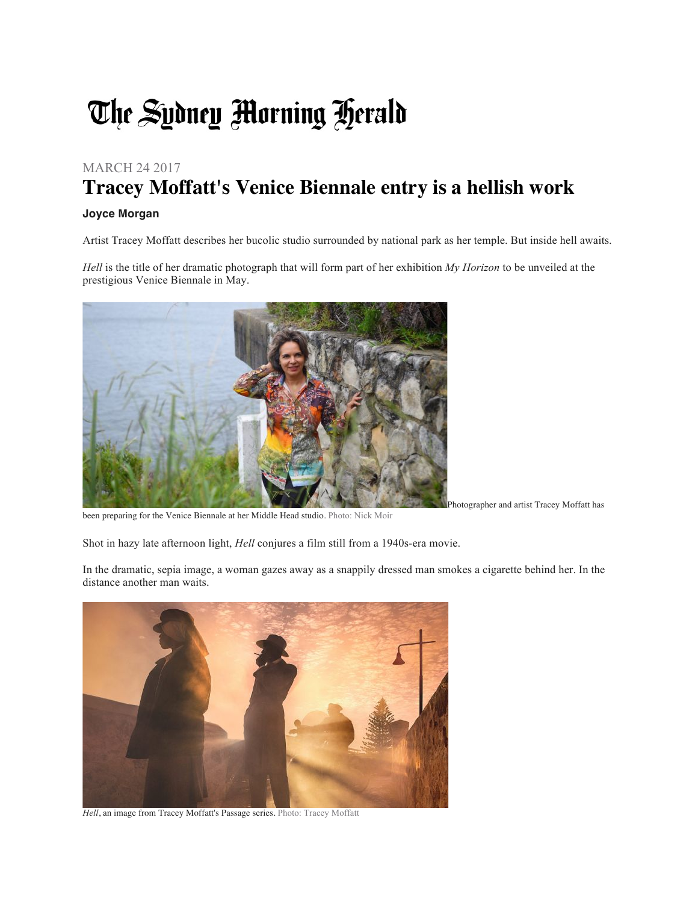## The Sydney Morning Herald

## MARCH 24 2017 **Tracey Moffatt's Venice Biennale entry is a hellish work**

## **Joyce Morgan**

Artist Tracey Moffatt describes her bucolic studio surrounded by national park as her temple. But inside hell awaits.

*Hell* is the title of her dramatic photograph that will form part of her exhibition *My Horizon* to be unveiled at the prestigious Venice Biennale in May.



been preparing for the Venice Biennale at her Middle Head studio. Photo: Nick Moir

Shot in hazy late afternoon light, *Hell* conjures a film still from a 1940s-era movie.

In the dramatic, sepia image, a woman gazes away as a snappily dressed man smokes a cigarette behind her. In the distance another man waits.



*Hell*, an image from Tracey Moffatt's Passage series. Photo: Tracey Moffatt